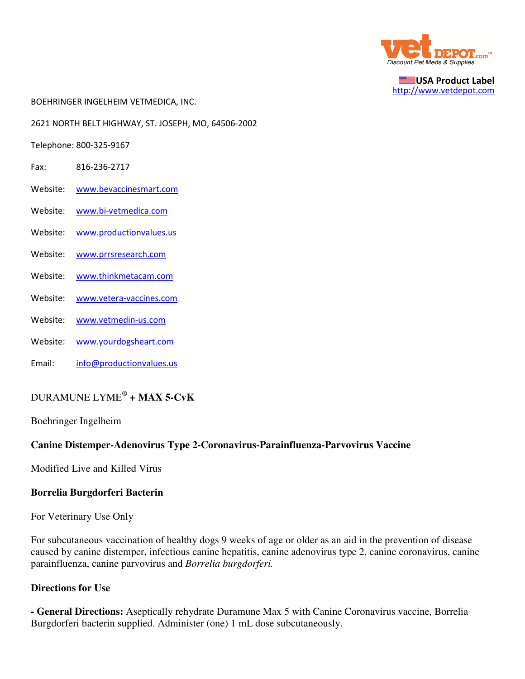

USA Product Label http://www.vetdepot.com

BOEHRINGER INGELHEIM VETMEDICA, INC.

2621 NORTH BELT HIGHWAY, ST. JOSEPH, MO, 64506-2002

Telephone: 800-325-9167

- Fax: 816-236-2717
- Website: www.bevaccinesmart.com
- Website: www.bi-vetmedica.com
- Website: www.productionvalues.us
- Website: www.prrsresearch.com
- Website: www.thinkmetacam.com
- Website: www.vetera-vaccines.com
- Website: www.vetmedin-us.com
- Website: www.yourdogsheart.com
- Email: info@productionvalues.us

# DURAMUNE LYME®  **+ MAX 5-CvK**

Boehringer Ingelheim

#### **Canine Distemper-Adenovirus Type 2-Coronavirus-Parainfluenza-Parvovirus Vaccine**

Modified Live and Killed Virus

#### **Borrelia Burgdorferi Bacterin**

For Veterinary Use Only

For subcutaneous vaccination of healthy dogs 9 weeks of age or older as an aid in the prevention of disease caused by canine distemper, infectious canine hepatitis, canine adenovirus type 2, canine coronavirus, canine parainfluenza, canine parvovirus and *Borrelia burgdorferi.*

#### **Directions for Use**

**- General Directions:** Aseptically rehydrate Duramune Max 5 with Canine Coronavirus vaccine, Borrelia Burgdorferi bacterin supplied. Administer (one) 1 mL dose subcutaneously.